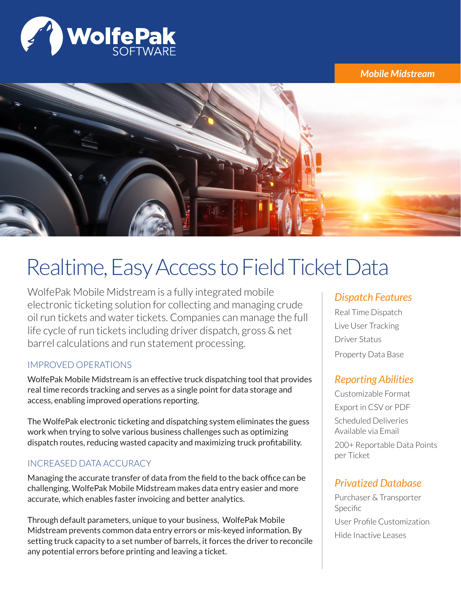

*Mobile Midstream*



# Realtime, Easy Access to Field Ticket Data

WolfePak Mobile Midstream is a fully integrated mobile electronic ticketing solution for collecting and managing crude oil run tickets and water tickets. Companies can manage the full life cycle of run tickets including driver dispatch, gross & net barrel calculations and run statement processing.

#### IMPROVED OPERATIONS

WolfePak Mobile Midstream is an effective truck dispatching tool that provides real time records tracking and serves as a single point for data storage and access, enabling improved operations reporting.

The WolfePak electronic ticketing and dispatching system eliminates the guess work when trying to solve various business challenges such as optimizing dispatch routes, reducing wasted capacity and maximizing truck profitability.

### INCREASED DATA ACCURACY

Managing the accurate transfer of data from the field to the back office can be challenging. WolfePak Mobile Midstream makes data entry easier and more accurate, which enables faster invoicing and better analytics.

Through default parameters, unique to your business, WolfePak Mobile Midstream prevents common data entry errors or mis-keyed information. By setting truck capacity to a set number of barrels, it forces the driver to reconcile any potential errors before printing and leaving a ticket.

## *Dispatch Features*

Real Time Dispatch Live User Tracking Driver Status Property Data Base

# *Reporting Abilities*

Customizable Format Export in CSV or PDF Scheduled Deliveries Available via Email 200+ Reportable Data Points per Ticket

# *Privatized Database*

Purchaser & Transporter Specific User Profile Customization Hide Inactive Leases